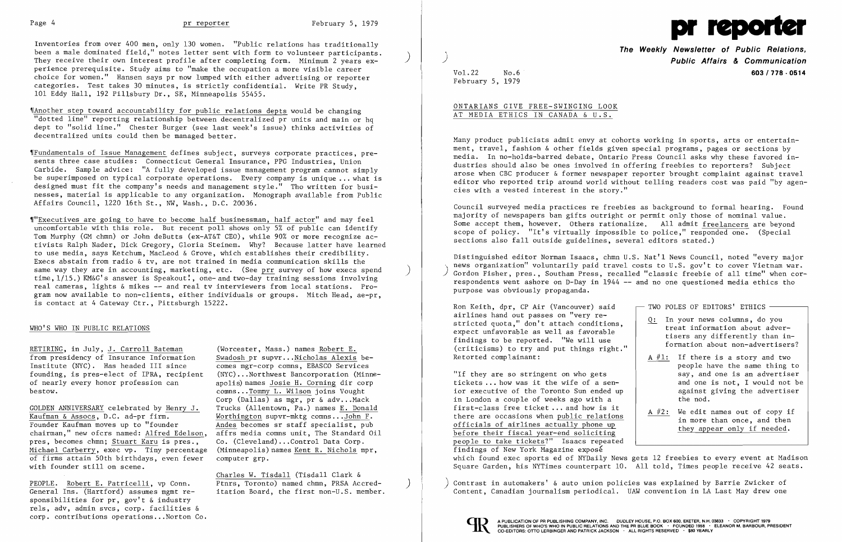Inventories from over 400 men, only 130 women. "Public relations has traditionally been a male dominated field," notes letter sent with form to volunteer participants. They receive their own interest profile after completing form. Minimum 2 years experience prerequisite. Study aims to "make the occupation a more visible career choice for women." Hansen says pr now lumped with either advertising or reporter categories. Test takes 30 minutes, is strictly confidential. Write PR Study, 101 Eddy Hall, 192 Pillsbury Dr., SE, Minneapolis 55455.

~IAnother step toward accountability for public relations depts would be changing "dotted line" reporting relationship between decentralized pr units and main or hq dept to "solid line." Chester Burger (see last week's issue) thinks activities of decentralized units could then be managed better.

'IFundamentals of Issue Management defines subject, surveys corporate practices, presents three case studies: Connecticut General Insurance, PPG Industries, Union Carbide. Sample advice: "A fully developed issue management program cannot simply be superimposed on typical corporate operations. Every company is unique ... what is designed must fit the company's needs and management style." Tho written for businesses, material is applicable to any organization. Monograph available from Public Affairs Council, 1220 16th St., NW, Wash., D.C. 20036.

GOLDEN ANNIVERSARY celebrated by Henry J. Trucks (Allentown, Pa.) names E. Donald Kaufman & Assocs, D.C. ad-pr firm. Worthington supvr-mktg comns...John F. Founder Kaufman moves up to "founder<br>chairman," new ofcrs named: Alfred Edelson, affrs media comns unit, The Standard Oil chairman," new ofcrs named: Alfred Edelson, pres, becomes chmn; Stuart Karu is pres., Co. (Cleveland)...Control Data Corp.<br>Michael Carberry, exec vp. Tiny percentage (Minneapolis) names Kent R. Nichols mpr. Michael Carberry, exec vp. Tiny percentage of firms attain 50th birthdays, even fewer computer grp. with founder still on scene.

> Charles W. Tisdall (Tisdall Clark & itation Board, the first non-U.S. member.

PEOPLE. Robert E. Patricelli, vp Conn. Ptnrs, Toronto) named chmn, PRSA Accred-<br>General Ins. (Hartford) assumes mgmt re-<br>itation Board, the first non-U.S. member sponsibilities for pr, gov't & industry rels, adv, admin svcs, corp. facilities & corp. contributions operations ... Norton Co.

comns... Tommy L. Wilson joins Vought Corp (Dallas) as mgr, pr  $\&$  adv...Mack Worthington supvr-mktg comns... $\overline{\text{John F}}$ .<br>Andes becomes sr staff specialist, pub

'l"Executives are going to have to become half businessman, half actor" and may feel uncomfortable with this role. But recent poll shows only 5% of public can identify Tom Murphy (GM chmn) or John deButts (ex-AT&T CEO), while 90% or more recognize activists Ralph Nader, Dick Gregory, Gloria Steinem. Why? Because latter have learned to use media, says Ketchum, MacLeod & Grove, which establishes their credibility. Execs abstain from radio & tv, are not trained in media communication skills the same way they are in accounting, marketing, etc. (See prr survey of how execs spend time, 1/15.) KM&G's answer is Speakout!, one- and two-day training sessions involving real cameras, lights & mikes -- and real tv interviewers from local stations. Program now available to non-clients, either individuals or groups. Mitch Head, ae-pr, is contact at 4 Gateway Ctr., Pittsburgh 15222.

## WHO'S WHO IN PUBLIC RELATIONS

RETIRING, in July, <u>J. Carroll Bateman</u> (Worcester, Mass.) names Robert E.<br>
from presidency of Insurance Information Swadosh pr supvr...Nicholas Alexis befrom presidency of Insurance Information  $Swadosh pr supvr \dots$ Nicholas Alexis be-<br>Institute (NYC). Has headed III since  $Swadosh pr-corp comms$ , EBASCO Services Institute (NYC). Has headed III since founding, is pres-elect of IPRA, recipient (NYC)...Northwest Bancorporation (Minne-<br>of nearly every honor profession can apolis) names Josie H. Corning dir corp of nearly every honor profession can apolis) names Josie H. Corning dir corp<br>bestow. <br>comps...Tommy L. Wilson joins Vought

|    | TWO POLES OF EDITORS' ETHICS                                                                                                                                                          |
|----|---------------------------------------------------------------------------------------------------------------------------------------------------------------------------------------|
|    |                                                                                                                                                                                       |
| Q: | In your news columns, do you<br>treat information about adver-<br>tisers any differently than in-<br>formation about non-advertisers?                                                 |
|    | A $#1$ : If there is a story and two<br>people have the same thing to<br>say, and one is an advertiser<br>and one is not, I would not be<br>against giving the advertiser<br>the nod. |
|    | A $#2$ : We edit names out of copy if<br>in more than once, and then<br>they appear only if needed.                                                                                   |

"If they are so stringent on who gets tickets  $\dots$  how was it the wife of a senior executive of the Toronto Sun ended up in London a couple of weeks ago with a first-class free ticket ... and how is it<br>there are occasions when public relations A #2: We edit names out of copy if<br>there are occasions when <u>public relations</u><br>officials of airlines actually phone up<br>before their fiscal year-end soliciting<br>they appear only if needed. people to take tickets?" Isaacs repeated findings of New York Magazine exposé which found exec sports ed of NYDaily News gets 12 freebies to every event at Madison Square Garden, his NYTimes counterpart 10. All told, Times people receive 42 seats.

) Contrast in automakers' & auto union policies was explained by Barrie Zwicker of Content, Canadian journalism periodical. UAW convention in LA Last May drew one





**The Weekly Newsletter of Public Relations,**  j **Public Affairs & Communication**  Vol. 22 No.6 **603/778·0514** 

February 5, 1979

### ONTARIANS GIVE FREE-SWINGING LOOK AT MEDIA ETHICS IN CANADA & U.S.

Many product publicists admit envy at cohorts working in sports, arts or entertainment, travel, fashion & other fields given special programs, pages or sections by media. In no-holds-barred debate, Ontario Press Council asks why these favored industries should also be ones involved in offering freebies to reporters? Subject arose when CBC producer & former newspaper reporter brought complaint against travel editor who reported trip around world without telling readers cost was paid "by agencies with a vested interest in the story."

Council surveyed media practices re freebies as background to formal hearing. Found majority of newspapers ban gifts outright or permit only those of nominal value. Some accept them, however. Others rationalize. All admit freelancers are beyond scope of policy. "It's virtually impossible to police," responded one. (Special sections also fall outside guidelines, several editors stated.)

Distinguished editor Norman Isaacs, chmn U.S. Nat'l News Council, noted "every major news organization" voluntarily paid travel costs to U.S. gov't to cover Vietnam war. Gordon Fisher, pres., Southam Press, recalled "classic freebie of all time" when correspondents went ashore on D-Day in 1944 -- and no one questioned media ethics tho purpose was obviously propaganda.

Ron Keith, dpr, CP Air (Vancouver) said airlines hand out passes on "very re-<br>stricted quota." don't attach conditions. airlines hand out passes on very re-<br>stricted quota," don't attach conditions,<br>expect unfavorable as well as favorable<br>findings to be reported. "We will use (criticisms) to try and put things right." formation about non-ad (criticisms) to try and put things right."<br>Retorted complainant: